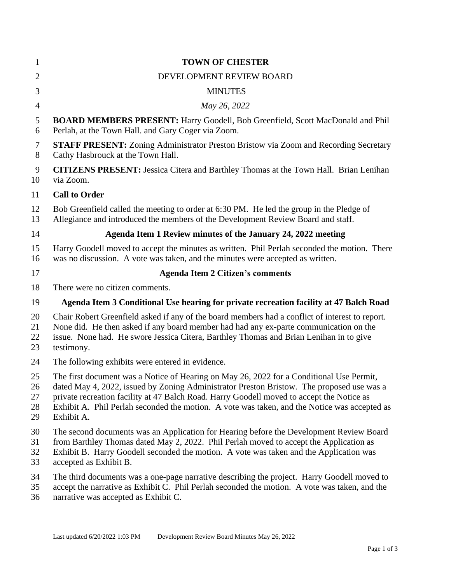| $\mathbf{1}$               | <b>TOWN OF CHESTER</b>                                                                                                                                                                                                                                                                                                                                                                           |
|----------------------------|--------------------------------------------------------------------------------------------------------------------------------------------------------------------------------------------------------------------------------------------------------------------------------------------------------------------------------------------------------------------------------------------------|
| $\overline{2}$             | DEVELOPMENT REVIEW BOARD                                                                                                                                                                                                                                                                                                                                                                         |
| 3                          | <b>MINUTES</b>                                                                                                                                                                                                                                                                                                                                                                                   |
| $\overline{4}$             | May 26, 2022                                                                                                                                                                                                                                                                                                                                                                                     |
| 5<br>6                     | <b>BOARD MEMBERS PRESENT: Harry Goodell, Bob Greenfield, Scott MacDonald and Phil</b><br>Perlah, at the Town Hall. and Gary Coger via Zoom.                                                                                                                                                                                                                                                      |
| 7<br>8                     | STAFF PRESENT: Zoning Administrator Preston Bristow via Zoom and Recording Secretary<br>Cathy Hasbrouck at the Town Hall.                                                                                                                                                                                                                                                                        |
| 9<br>10                    | <b>CITIZENS PRESENT:</b> Jessica Citera and Barthley Thomas at the Town Hall. Brian Lenihan<br>via Zoom.                                                                                                                                                                                                                                                                                         |
| 11                         | <b>Call to Order</b>                                                                                                                                                                                                                                                                                                                                                                             |
| 12<br>13                   | Bob Greenfield called the meeting to order at 6:30 PM. He led the group in the Pledge of<br>Allegiance and introduced the members of the Development Review Board and staff.                                                                                                                                                                                                                     |
| 14                         | Agenda Item 1 Review minutes of the January 24, 2022 meeting                                                                                                                                                                                                                                                                                                                                     |
| 15<br>16                   | Harry Goodell moved to accept the minutes as written. Phil Perlah seconded the motion. There<br>was no discussion. A vote was taken, and the minutes were accepted as written.                                                                                                                                                                                                                   |
| 17                         | <b>Agenda Item 2 Citizen's comments</b>                                                                                                                                                                                                                                                                                                                                                          |
| 18                         | There were no citizen comments.                                                                                                                                                                                                                                                                                                                                                                  |
| 19                         | Agenda Item 3 Conditional Use hearing for private recreation facility at 47 Balch Road                                                                                                                                                                                                                                                                                                           |
| 20<br>21<br>22<br>23       | Chair Robert Greenfield asked if any of the board members had a conflict of interest to report.<br>None did. He then asked if any board member had had any ex-parte communication on the<br>issue. None had. He swore Jessica Citera, Barthley Thomas and Brian Lenihan in to give<br>testimony.                                                                                                 |
| 24                         | The following exhibits were entered in evidence.                                                                                                                                                                                                                                                                                                                                                 |
| 25<br>26<br>27<br>28<br>29 | The first document was a Notice of Hearing on May 26, 2022 for a Conditional Use Permit,<br>dated May 4, 2022, issued by Zoning Administrator Preston Bristow. The proposed use was a<br>private recreation facility at 47 Balch Road. Harry Goodell moved to accept the Notice as<br>Exhibit A. Phil Perlah seconded the motion. A vote was taken, and the Notice was accepted as<br>Exhibit A. |
| 30<br>31<br>32<br>33       | The second documents was an Application for Hearing before the Development Review Board<br>from Barthley Thomas dated May 2, 2022. Phil Perlah moved to accept the Application as<br>Exhibit B. Harry Goodell seconded the motion. A vote was taken and the Application was<br>accepted as Exhibit B.                                                                                            |
| 34<br>35<br>36             | The third documents was a one-page narrative describing the project. Harry Goodell moved to<br>accept the narrative as Exhibit C. Phil Perlah seconded the motion. A vote was taken, and the<br>narrative was accepted as Exhibit C.                                                                                                                                                             |
|                            |                                                                                                                                                                                                                                                                                                                                                                                                  |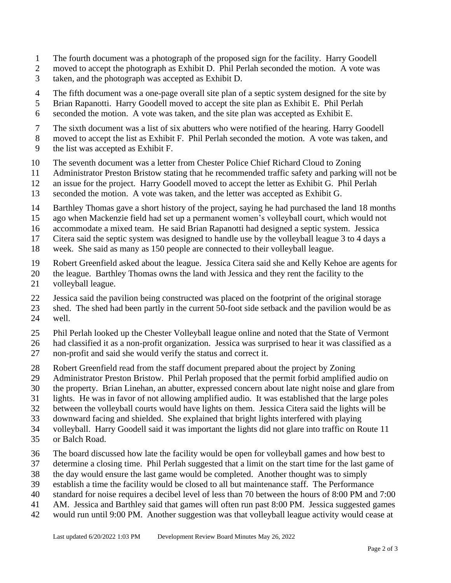- The fourth document was a photograph of the proposed sign for the facility. Harry Goodell
- moved to accept the photograph as Exhibit D. Phil Perlah seconded the motion. A vote was
- taken, and the photograph was accepted as Exhibit D.
- The fifth document was a one-page overall site plan of a septic system designed for the site by
- Brian Rapanotti. Harry Goodell moved to accept the site plan as Exhibit E. Phil Perlah
- seconded the motion. A vote was taken, and the site plan was accepted as Exhibit E.
- The sixth document was a list of six abutters who were notified of the hearing. Harry Goodell
- moved to accept the list as Exhibit F. Phil Perlah seconded the motion. A vote was taken, and
- the list was accepted as Exhibit F.
- The seventh document was a letter from Chester Police Chief Richard Cloud to Zoning
- Administrator Preston Bristow stating that he recommended traffic safety and parking will not be
- an issue for the project. Harry Goodell moved to accept the letter as Exhibit G. Phil Perlah
- seconded the motion. A vote was taken, and the letter was accepted as Exhibit G.
- Barthley Thomas gave a short history of the project, saying he had purchased the land 18 months
- ago when Mackenzie field had set up a permanent women's volleyball court, which would not
- accommodate a mixed team. He said Brian Rapanotti had designed a septic system. Jessica
- Citera said the septic system was designed to handle use by the volleyball league 3 to 4 days a
- week. She said as many as 150 people are connected to their volleyball league.
- Robert Greenfield asked about the league. Jessica Citera said she and Kelly Kehoe are agents for
- the league. Barthley Thomas owns the land with Jessica and they rent the facility to the
- volleyball league.
- Jessica said the pavilion being constructed was placed on the footprint of the original storage
- shed. The shed had been partly in the current 50-foot side setback and the pavilion would be as well.
- Phil Perlah looked up the Chester Volleyball league online and noted that the State of Vermont
- had classified it as a non-profit organization. Jessica was surprised to hear it was classified as a
- non-profit and said she would verify the status and correct it.
- Robert Greenfield read from the staff document prepared about the project by Zoning
- Administrator Preston Bristow. Phil Perlah proposed that the permit forbid amplified audio on
- the property. Brian Linehan, an abutter, expressed concern about late night noise and glare from
- lights. He was in favor of not allowing amplified audio. It was established that the large poles
- between the volleyball courts would have lights on them. Jessica Citera said the lights will be
- downward facing and shielded. She explained that bright lights interfered with playing
- volleyball. Harry Goodell said it was important the lights did not glare into traffic on Route 11
- or Balch Road.
- The board discussed how late the facility would be open for volleyball games and how best to
- determine a closing time. Phil Perlah suggested that a limit on the start time for the last game of
- the day would ensure the last game would be completed. Another thought was to simply
- establish a time the facility would be closed to all but maintenance staff. The Performance
- standard for noise requires a decibel level of less than 70 between the hours of 8:00 PM and 7:00
- AM. Jessica and Barthley said that games will often run past 8:00 PM. Jessica suggested games
- would run until 9:00 PM. Another suggestion was that volleyball league activity would cease at